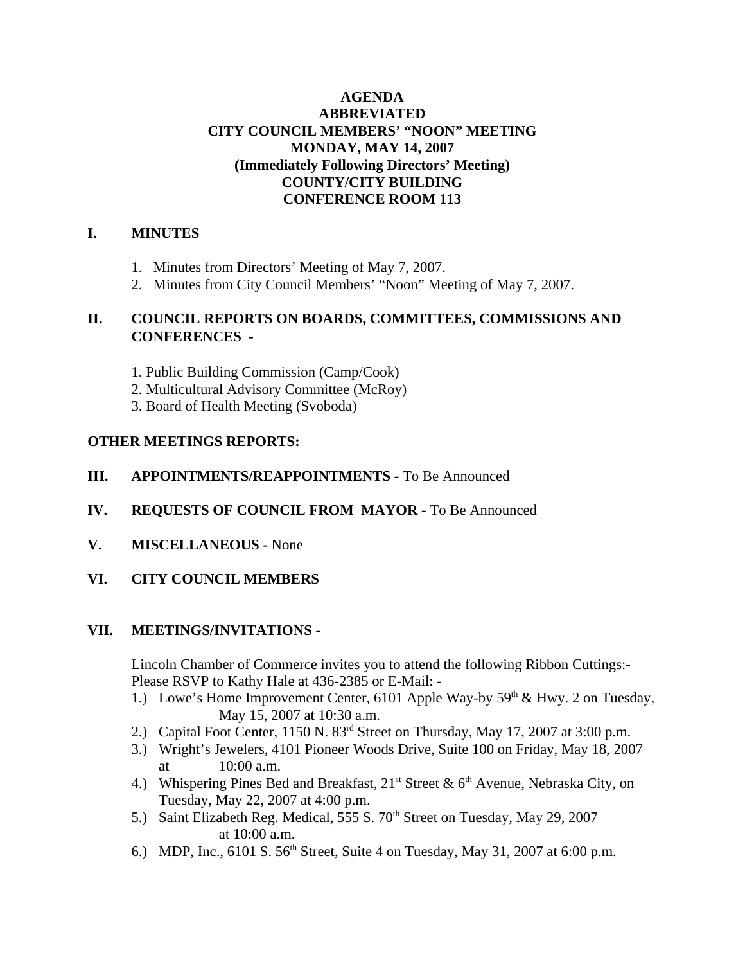# **AGENDA ABBREVIATED CITY COUNCIL MEMBERS' "NOON" MEETING MONDAY, MAY 14, 2007 (Immediately Following Directors' Meeting) COUNTY/CITY BUILDING CONFERENCE ROOM 113**

## **I. MINUTES**

- 1. Minutes from Directors' Meeting of May 7, 2007.
- 2. Minutes from City Council Members' "Noon" Meeting of May 7, 2007.

# **II. COUNCIL REPORTS ON BOARDS, COMMITTEES, COMMISSIONS AND CONFERENCES -**

- 1. Public Building Commission (Camp/Cook)
- 2. Multicultural Advisory Committee (McRoy)
- 3. Board of Health Meeting (Svoboda)

## **OTHER MEETINGS REPORTS:**

## **III.** APPOINTMENTS/REAPPOINTMENTS - To Be Announced

- **IV. REQUESTS OF COUNCIL FROM MAYOR -** To Be Announced
- **V. MISCELLANEOUS** None
- **VI. CITY COUNCIL MEMBERS**

### **VII. MEETINGS/INVITATIONS** -

Lincoln Chamber of Commerce invites you to attend the following Ribbon Cuttings:- Please RSVP to Kathy Hale at 436-2385 or E-Mail: -

- 1.) Lowe's Home Improvement Center, 6101 Apple Way-by  $59<sup>th</sup>$  & Hwy. 2 on Tuesday, May 15, 2007 at 10:30 a.m.
- 2.) Capital Foot Center, 1150 N. 83rd Street on Thursday, May 17, 2007 at 3:00 p.m.
- 3.) Wright's Jewelers, 4101 Pioneer Woods Drive, Suite 100 on Friday, May 18, 2007 at 10:00 a.m.
- 4.) Whispering Pines Bed and Breakfast,  $21^{st}$  Street &  $6^{th}$  Avenue, Nebraska City, on Tuesday, May 22, 2007 at 4:00 p.m.
- 5.) Saint Elizabeth Reg. Medical, 555 S. 70<sup>th</sup> Street on Tuesday, May 29, 2007 at 10:00 a.m.
- 6.) MDP, Inc.,  $6101 S. 56<sup>th</sup> Street$ , Suite 4 on Tuesday, May 31, 2007 at 6:00 p.m.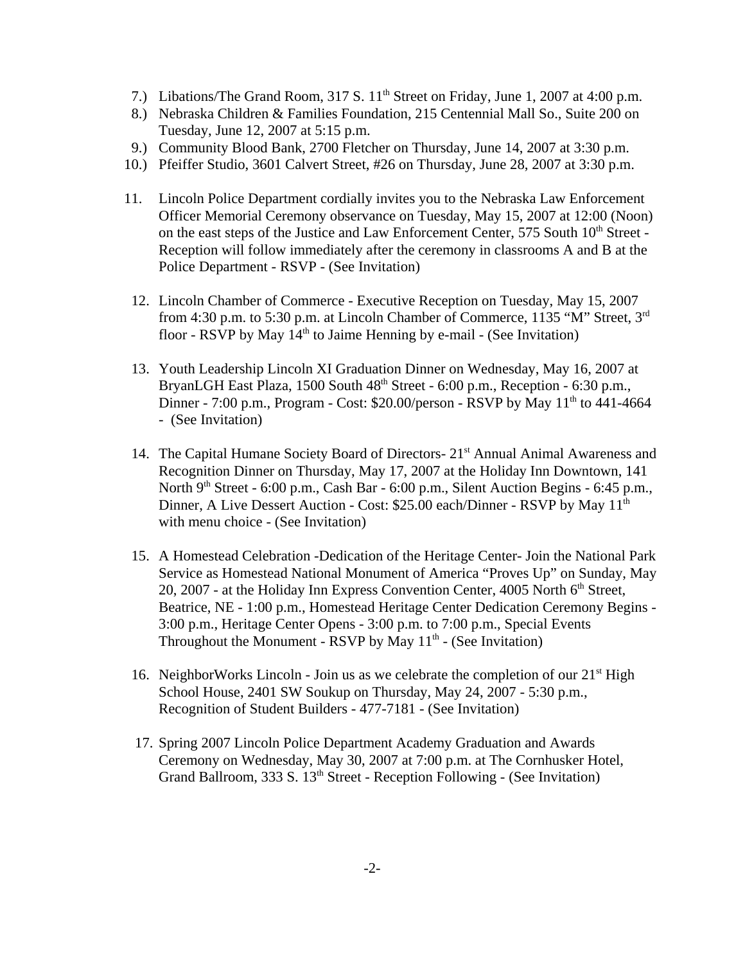- 7.) Libations/The Grand Room, 317 S. 11<sup>th</sup> Street on Friday, June 1, 2007 at 4:00 p.m.
- 8.) Nebraska Children & Families Foundation, 215 Centennial Mall So., Suite 200 on Tuesday, June 12, 2007 at 5:15 p.m.
- 9.) Community Blood Bank, 2700 Fletcher on Thursday, June 14, 2007 at 3:30 p.m.
- 10.) Pfeiffer Studio, 3601 Calvert Street, #26 on Thursday, June 28, 2007 at 3:30 p.m.
- 11. Lincoln Police Department cordially invites you to the Nebraska Law Enforcement Officer Memorial Ceremony observance on Tuesday, May 15, 2007 at 12:00 (Noon) on the east steps of the Justice and Law Enforcement Center, 575 South 10<sup>th</sup> Street -Reception will follow immediately after the ceremony in classrooms A and B at the Police Department - RSVP - (See Invitation)
- 12. Lincoln Chamber of Commerce Executive Reception on Tuesday, May 15, 2007 from 4:30 p.m. to 5:30 p.m. at Lincoln Chamber of Commerce, 1135 "M" Street, 3rd floor - RSVP by May  $14<sup>th</sup>$  to Jaime Henning by e-mail - (See Invitation)
- 13. Youth Leadership Lincoln XI Graduation Dinner on Wednesday, May 16, 2007 at BryanLGH East Plaza, 1500 South  $48<sup>th</sup>$  Street - 6:00 p.m., Reception - 6:30 p.m., Dinner - 7:00 p.m., Program - Cost: \$20.00/person - RSVP by May  $11<sup>th</sup>$  to 441-4664 - (See Invitation)
- 14. The Capital Humane Society Board of Directors- 21<sup>st</sup> Annual Animal Awareness and Recognition Dinner on Thursday, May 17, 2007 at the Holiday Inn Downtown, 141 North  $9<sup>th</sup> Street - 6:00 p.m., Cash Bar - 6:00 p.m., Silent auction begins - 6:45 p.m.,$ Dinner, A Live Dessert Auction - Cost: \$25.00 each/Dinner - RSVP by May 11<sup>th</sup> with menu choice - (See Invitation)
- 15. A Homestead Celebration -Dedication of the Heritage Center- Join the National Park Service as Homestead National Monument of America "Proves Up" on Sunday, May 20, 2007 - at the Holiday Inn Express Convention Center, 4005 North  $6<sup>th</sup>$  Street, Beatrice, NE - 1:00 p.m., Homestead Heritage Center Dedication Ceremony Begins - 3:00 p.m., Heritage Center Opens - 3:00 p.m. to 7:00 p.m., Special Events Throughout the Monument - RSVP by May  $11<sup>th</sup>$  - (See Invitation)
- 16. NeighborWorks Lincoln Join us as we celebrate the completion of our  $21<sup>st</sup>$  High School House, 2401 SW Soukup on Thursday, May 24, 2007 - 5:30 p.m., Recognition of Student Builders - 477-7181 - (See Invitation)
- 17. Spring 2007 Lincoln Police Department Academy Graduation and Awards Ceremony on Wednesday, May 30, 2007 at 7:00 p.m. at The Cornhusker Hotel, Grand Ballroom, 333 S. 13<sup>th</sup> Street - Reception Following - (See Invitation)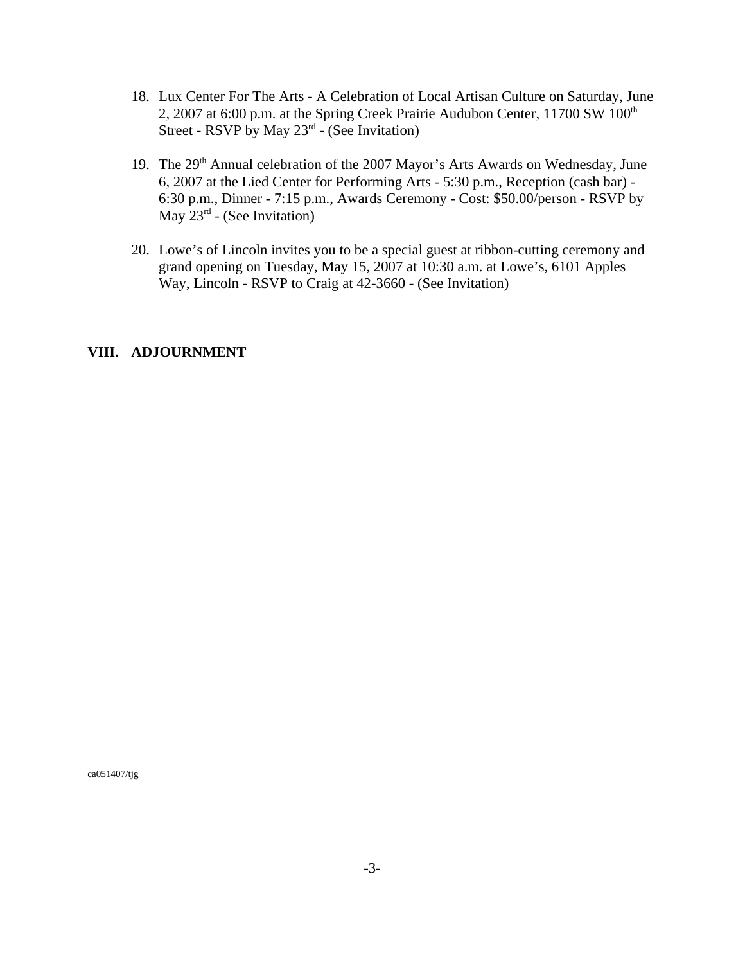- 18. Lux Center For The Arts A Celebration of Local Artisan Culture on Saturday, June 2, 2007 at 6:00 p.m. at the Spring Creek Prairie Audubon Center, 11700 SW 100<sup>th</sup> Street - RSVP by May  $23<sup>rd</sup>$  - (See Invitation)
- 19. The 29th Annual celebration of the 2007 Mayor's Arts Awards on Wednesday, June 6, 2007 at the Lied Center for Performing Arts - 5:30 p.m., Reception (cash bar) - 6:30 p.m., Dinner - 7:15 p.m., Awards Ceremony - Cost: \$50.00/person - RSVP by May  $23^{rd}$  - (See Invitation)
- 20. Lowe's of Lincoln invites you to be a special guest at ribbon-cutting ceremony and grand opening on Tuesday, May 15, 2007 at 10:30 a.m. at Lowe's, 6101 Apples Way, Lincoln - RSVP to Craig at 42-3660 - (See Invitation)

#### **VIII. ADJOURNMENT**

ca051407/tjg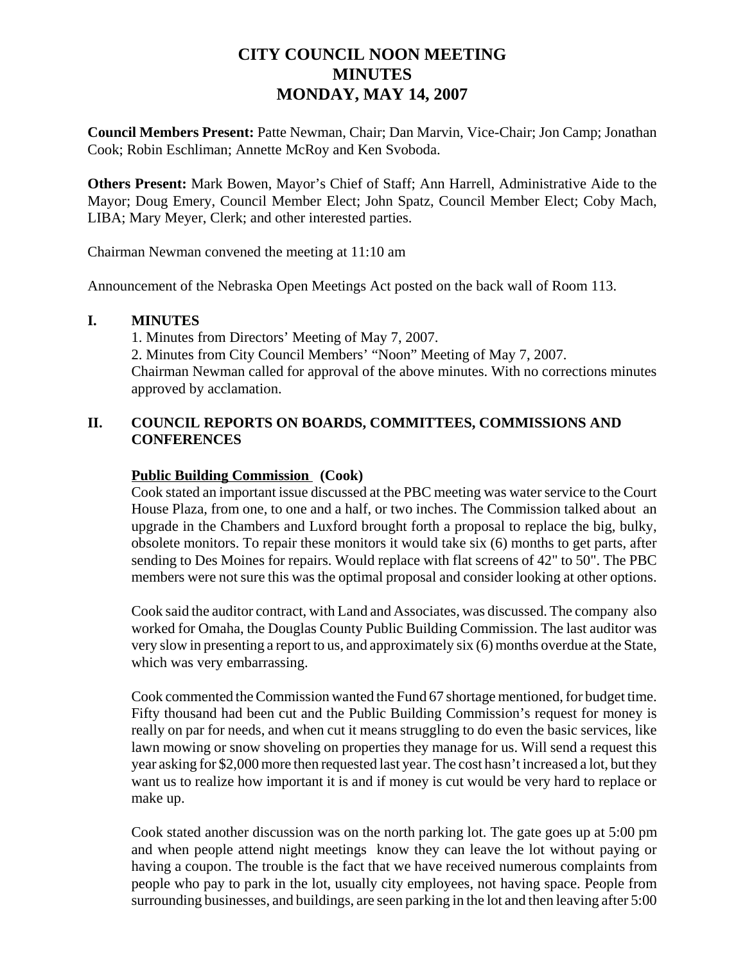# **CITY COUNCIL NOON MEETING MINUTES MONDAY, MAY 14, 2007**

**Council Members Present:** Patte Newman, Chair; Dan Marvin, Vice-Chair; Jon Camp; Jonathan Cook; Robin Eschliman; Annette McRoy and Ken Svoboda.

**Others Present:** Mark Bowen, Mayor's Chief of Staff; Ann Harrell, Administrative Aide to the Mayor; Doug Emery, Council Member Elect; John Spatz, Council Member Elect; Coby Mach, LIBA; Mary Meyer, Clerk; and other interested parties.

Chairman Newman convened the meeting at 11:10 am

Announcement of the Nebraska Open Meetings Act posted on the back wall of Room 113.

### **I. MINUTES**

1. Minutes from Directors' Meeting of May 7, 2007. 2. Minutes from City Council Members' "Noon" Meeting of May 7, 2007. Chairman Newman called for approval of the above minutes. With no corrections minutes approved by acclamation.

## **II. COUNCIL REPORTS ON BOARDS, COMMITTEES, COMMISSIONS AND CONFERENCES**

### **Public Building Commission (Cook)**

Cook stated an important issue discussed at the PBC meeting was water service to the Court House Plaza, from one, to one and a half, or two inches. The Commission talked about an upgrade in the Chambers and Luxford brought forth a proposal to replace the big, bulky, obsolete monitors. To repair these monitors it would take six (6) months to get parts, after sending to Des Moines for repairs. Would replace with flat screens of 42" to 50". The PBC members were not sure this was the optimal proposal and consider looking at other options.

Cook said the auditor contract, with Land and Associates, was discussed. The company also worked for Omaha, the Douglas County Public Building Commission. The last auditor was very slow in presenting a report to us, and approximately six (6) months overdue at the State, which was very embarrassing.

Cook commented the Commission wanted the Fund 67 shortage mentioned, for budget time. Fifty thousand had been cut and the Public Building Commission's request for money is really on par for needs, and when cut it means struggling to do even the basic services, like lawn mowing or snow shoveling on properties they manage for us. Will send a request this year asking for \$2,000 more then requested last year. The cost hasn't increased a lot, but they want us to realize how important it is and if money is cut would be very hard to replace or make up.

Cook stated another discussion was on the north parking lot. The gate goes up at 5:00 pm and when people attend night meetings know they can leave the lot without paying or having a coupon. The trouble is the fact that we have received numerous complaints from people who pay to park in the lot, usually city employees, not having space. People from surrounding businesses, and buildings, are seen parking in the lot and then leaving after 5:00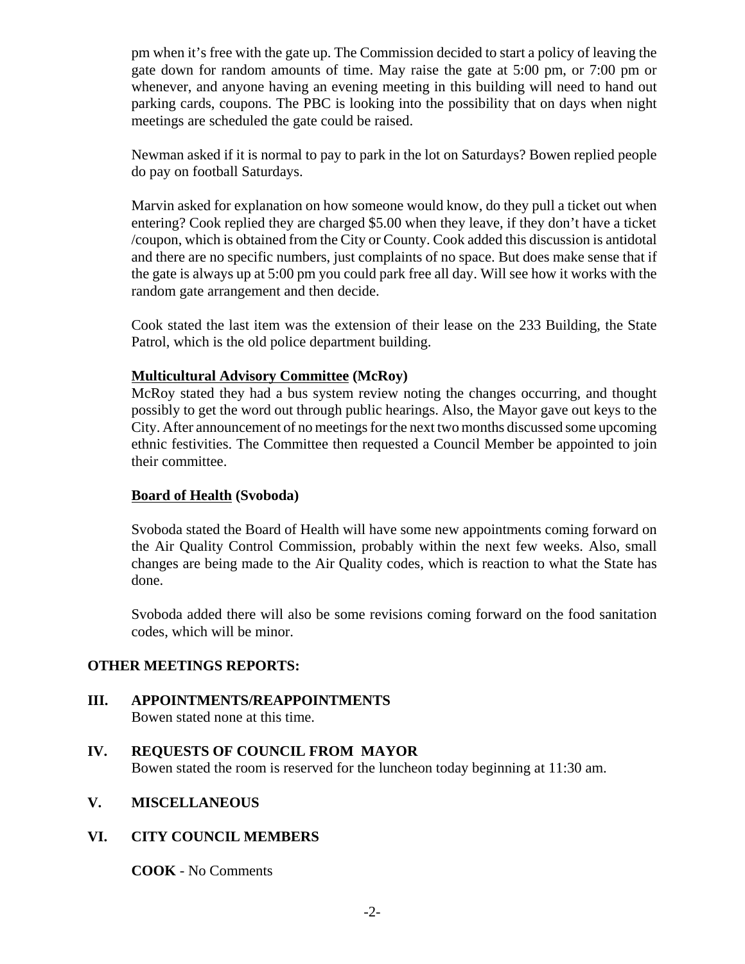pm when it's free with the gate up. The Commission decided to start a policy of leaving the gate down for random amounts of time. May raise the gate at 5:00 pm, or 7:00 pm or whenever, and anyone having an evening meeting in this building will need to hand out parking cards, coupons. The PBC is looking into the possibility that on days when night meetings are scheduled the gate could be raised.

Newman asked if it is normal to pay to park in the lot on Saturdays? Bowen replied people do pay on football Saturdays.

Marvin asked for explanation on how someone would know, do they pull a ticket out when entering? Cook replied they are charged \$5.00 when they leave, if they don't have a ticket /coupon, which is obtained from the City or County. Cook added this discussion is antidotal and there are no specific numbers, just complaints of no space. But does make sense that if the gate is always up at 5:00 pm you could park free all day. Will see how it works with the random gate arrangement and then decide.

Cook stated the last item was the extension of their lease on the 233 Building, the State Patrol, which is the old police department building.

## **Multicultural Advisory Committee (McRoy)**

McRoy stated they had a bus system review noting the changes occurring, and thought possibly to get the word out through public hearings. Also, the Mayor gave out keys to the City. After announcement of no meetings for the next two months discussed some upcoming ethnic festivities. The Committee then requested a Council Member be appointed to join their committee.

### **Board of Health (Svoboda)**

Svoboda stated the Board of Health will have some new appointments coming forward on the Air Quality Control Commission, probably within the next few weeks. Also, small changes are being made to the Air Quality codes, which is reaction to what the State has done.

Svoboda added there will also be some revisions coming forward on the food sanitation codes, which will be minor.

# **OTHER MEETINGS REPORTS:**

**III. APPOINTMENTS/REAPPOINTMENTS** Bowen stated none at this time.

# **IV. REQUESTS OF COUNCIL FROM MAYOR**

Bowen stated the room is reserved for the luncheon today beginning at 11:30 am.

### **V. MISCELLANEOUS**

# **VI. CITY COUNCIL MEMBERS**

**COOK** - No Comments